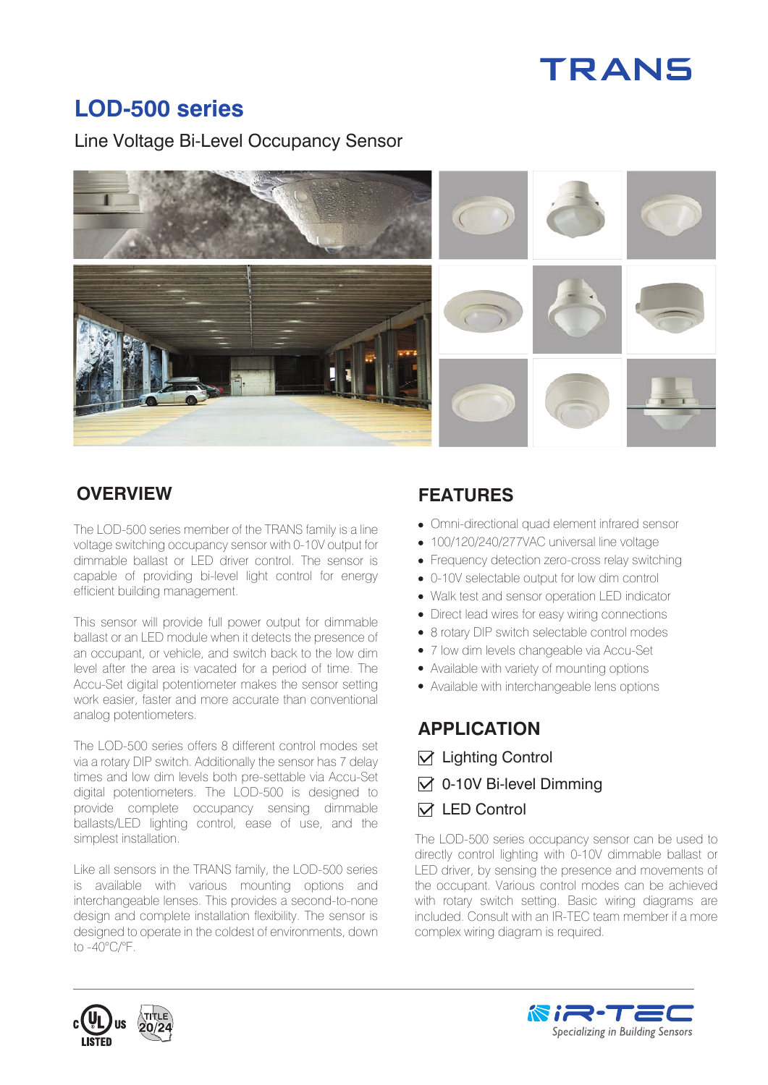# **TRANS**

## **LOD-500 series**

Line Voltage Bi-Level Occupancy Sensor



The LOD-500 series member of the TRANS family is a line voltage switching occupancy sensor with 0-10V output for dimmable ballast or LED driver control. The sensor is capable of providing bi-level light control for energy efficient building management.

This sensor will provide full power output for dimmable ballast or an LED module when it detects the presence of an occupant, or vehicle, and switch back to the low dim level after the area is vacated for a period of time. The Accu-Set digital potentiometer makes the sensor setting work easier, faster and more accurate than conventional analog potentiometers.

The LOD-500 series offers 8 different control modes set via a rotary DIP switch. Additionally the sensor has 7 delay times and low dim levels both pre-settable via Accu-Set digital potentiometers. The LOD-500 is designed to provide complete occupancy sensing dimmable ballasts/LED lighting control, ease of use, and the simplest installation.

Like all sensors in the TRANS family, the LOD-500 series is available with various mounting options and interchangeable lenses. This provides a second-to-none design and complete installation flexibility. The sensor is designed to operate in the coldest of environments, down to -40°C/°F.

## **OVERVIEW FEATURES**

- Omni-directional quad element infrared sensor
- 100/120/240/277VAC universal line voltage
- Frequency detection zero-cross relay switching
- 0-10V selectable output for low dim control
- Walk test and sensor operation LED indicator
- Direct lead wires for easy wiring connections
- 8 rotary DIP switch selectable control modes
- 7 low dim levels changeable via Accu-Set
- Available with variety of mounting options
- Available with interchangeable lens options

## **APPLICATION**

- $\nabla$  Lighting Control
- $\triangledown$  0-10V Bi-level Dimming

#### $\triangledown$  **LED Control**

The LOD-500 series occupancy sensor can be used to directly control lighting with 0-10V dimmable ballast or LED driver, by sensing the presence and movements of the occupant. Various control modes can be achieved with rotary switch setting. Basic wiring diagrams are included. Consult with an IR-TEC team member if a more complex wiring diagram is required.